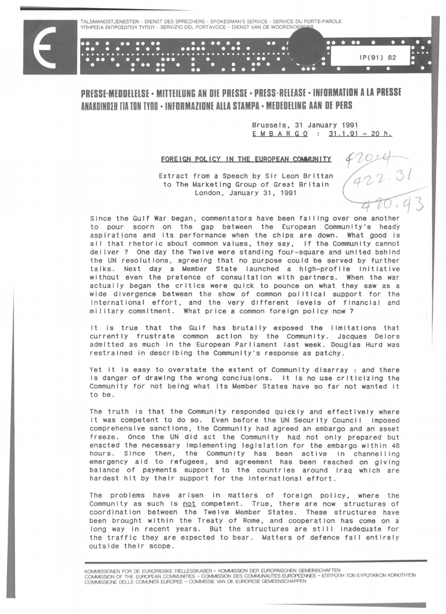## **PRESSE·MEDDUUSE • MITTEILUNG AN DIE PRESSE • PRESS·RUEASE • INFORMATION A LA PRESSE ANAKDINDIH rlA TON TYDO • INFDRMAZIDNE ALLA STAMPA • MEDEDUING AAN DE PERS**

Brussels, 31 January 1991  $E M B A R G Q : 31.1.91 - 20 h.$ 

IP(91) 82

.. . ..

3/

## FOREIGN POLICY IN THE EUROPEAN COMMUNITY

Extract from a Speech by Sir Leon Brittan to The Marketing Group of Great Britain London, January 31, 1991

Since the Gulf War began, commentators have been falling over one another to pour scorn on the gap between the European Community's heady aspirations and its performance when the chips are down. What good Is all that rhetoric about common values, they say, if the Community cannot del lver? One day the Twelve were standing four-square and united behind the UN resolutions, agreeing that no purpose could be served by further talks. Next day a Member State launched a high-profile initiative without even the pretence of consultation with partners. When the war actually began the critics were quick to pounce on what they saw as a wide divergence between the show of common polltlcal support for the International effort, and the very different levels of financial and military commitment. What price a common foreign policy now?

It is true that the Gulf has brutally exposed the limitations that currently frustrate common action by the Community. Jacques Delors adm Itted as much in the European Parliament last week. Douglas Hurd was restrained in describing the Community's response as patchy.

Yet it is easy to overstate the extent of Community disarray : and there is danger of drawing the wrong conclusions. It is no use criticizing the Community for not being what Its Member States have so far not wanted It to be.

The truth is that the Community responded quickly and effectively where it was competent to do so. Even before the UN Security Council imposed comprehensive sanctions, the Community had agreed an embargo and an asset freeze. Once the UN did act the Community had not only prepared but enacted the necessary Implementing leglslatlon for the embargo within 48 hours. Since then, the Community has been active in channelling emergency aid to refugees, and agreement has been reached on giving balance of payments support to the countries around Iraq which are hardest hit by their support for the International effort.

The problems have arisen in matters of foreign policy, where the Community as such is not competent. True, there are now structures of coordination between the Twelve Member States. These structures have been brought within the Treaty of Rome, and cooperation has come on a long way in recent years. But the structures are still inadequate for the traffic they are expected to bear. Matters of defence fall entirely outside their scope.

KOMMISSIONEN FOR DE EUROPÆISKE FÆLLESSKABER – KOMMISSION DER EUROPAISCHEN GEMEINSCHAFTEN<br>COMMISSION OF THE EUROPEAN COMMUNITIES – COMMISSION DES COMMUNAUTES EUROPEENNES – EΠITPOΠH TΩN EYPΩΠAÏKΩN KOINOTHTΩN COMMISSlONE DELLE COMUNITA EUROPEE - COMMISSlE VAN DE EUROPESE GEMEENSCHAPPEN